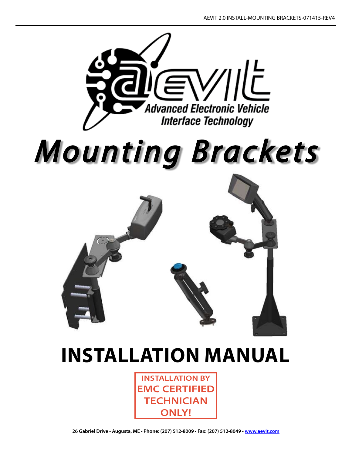

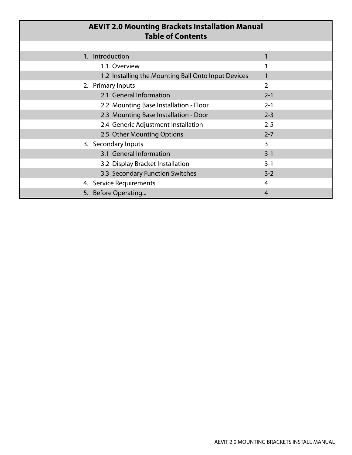| <b>AEVIT 2.0 Mounting Brackets Installation Manual</b><br><b>Table of Contents</b> |                |
|------------------------------------------------------------------------------------|----------------|
|                                                                                    |                |
| 1. Introduction                                                                    |                |
| 1.1 Overview                                                                       |                |
| 1.2 Installing the Mounting Ball Onto Input Devices                                |                |
| 2. Primary Inputs                                                                  | $\overline{2}$ |
| 2.1 General Information                                                            | $2 - 1$        |
| 2.2 Mounting Base Installation - Floor                                             | $2 - 1$        |
| 2.3 Mounting Base Installation - Door                                              | $2 - 3$        |
| 2.4 Generic Adjustment Installation                                                | $2 - 5$        |
| 2.5 Other Mounting Options                                                         | $2 - 7$        |
| 3. Secondary Inputs                                                                | $\overline{3}$ |
| 3.1 General Information                                                            | $3 - 1$        |
| 3.2 Display Bracket Installation                                                   | $3 - 1$        |
| 3.3 Secondary Function Switches                                                    | $3 - 2$        |
| 4. Service Requirements                                                            | 4              |
| 5. Before Operating                                                                | 4              |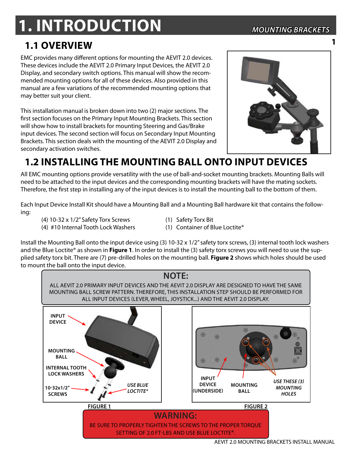# **1. Introduction** *Mounting Brackets*

**1**

## **1.1 Overview**

EMC provides many different options for mounting the AEVIT 2.0 devices. These devices include the AEVIT 2.0 Primary Input Devices, the AEVIT 2.0 Display, and secondary switch options. This manual will show the recommended mounting options for all of these devices. Also provided in this manual are a few variations of the recommended mounting options that may better suit your client.

This installation manual is broken down into two (2) major sections. The first section focuses on the Primary Input Mounting Brackets. This section will show how to install brackets for mounting Steering and Gas/Brake input devices. The second section will focus on Secondary Input Mounting Brackets. This section deals with the mounting of the AEVIT 2.0 Display and secondary activation switches.



## **1.2 installing the mounting ball onto input devices**

All EMC mounting options provide versatility with the use of ball-and-socket mounting brackets. Mounting Balls will need to be attached to the input devices and the corresponding mounting brackets will have the mating sockets. Therefore, the first step in installing any of the input devices is to install the mounting ball to the bottom of them.

Each Input Device Install Kit should have a Mounting Ball and a Mounting Ball hardware kit that contains the following:

- (4) 10-32 x 1/2" Safety Torx Screws (1) Safety Torx Bit
- 
- (4) #10 Internal Tooth Lock Washers (1) Container of Blue Loctite®
- Install the Mounting Ball onto the input device using (3) 10-32 x 1/2" safety torx screws, (3) internal tooth lock washers and the Blue Loctite® as shown in **Figure 1**. In order to install the (3) safety torx screws you will need to use the supplied safety torx bit. There are (7) pre-drilled holes on the mounting ball. **Figure 2** shows which holes should be used to mount the ball onto the input device.

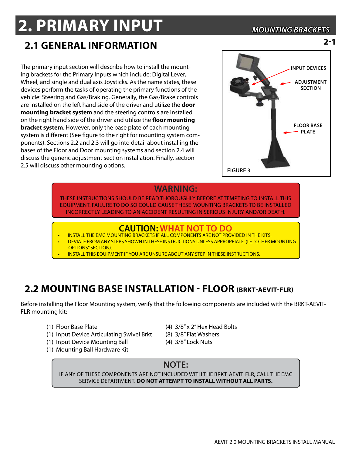## **2. PRIMARY INPUT** *Mounting Brackets*

**2-1**

## **2.1 general information**

The primary input section will describe how to install the mounting brackets for the Primary Inputs which include: Digital Lever, Wheel, and single and dual axis Joysticks. As the name states, these devices perform the tasks of operating the primary functions of the vehicle: Steering and Gas/Braking. Generally, the Gas/Brake controls are installed on the left hand side of the driver and utilize the **door mounting bracket system** and the steering controls are installed on the right hand side of the driver and utilize the **floor mounting bracket system**. However, only the base plate of each mounting system is different (See figure to the right for mounting system components). Sections 2.2 and 2.3 will go into detail about installing the bases of the Floor and Door mounting systems and section 2.4 will discuss the generic adjustment section installation. Finally, section 2.5 will discuss other mounting options.



#### **WARNING:**

these instructions should be read thoroughly before attempting to install this equipment. Failure to do so could cause these mounting brackets to be installed incorrectly leading to an accident resulting in serious injury and/or death.

## **CAUTION: WHAT NOT TO DO EXAMPLE TO BO INSTALL THE EMC MOUNTING BRACKETS IF ALL COMPONENTS ARE NOT PROVIDED IN THE KITS.**

- 
- DEVIATE FROM ANY STEPS SHOWN IN THESE INSTRUCTIONS UNLESS APPROPRIATE. (I.E. "OTHER MOUNTING OPTIONS" SECTION).
- INSTALL THIS EQUIPMENT IF YOU ARE UNSURE ABOUT ANY STEP IN THESE INSTRUCTIONS.

## **2.2 Mounting Base Installation - Floor (BRkt-aevit-flr)**

Before installing the Floor Mounting system, verify that the following components are included with the BRKT-AEVIT-FLR mounting kit:

- 
- (1) Input Device Articulating Swivel Brkt (8) 3/8" Flat Washers
- (1) Input Device Mounting Ball (4) 3/8" Lock Nuts
- (1) Mounting Ball Hardware Kit
- (1) Floor Base Plate (4) 3/8" x 2" Hex Head Bolts
	-
	-

## **NOTE:**

If any of these components are not included with the brkt-aevit-flr, call the EMC service department. **DO not attempt to install without all parts.**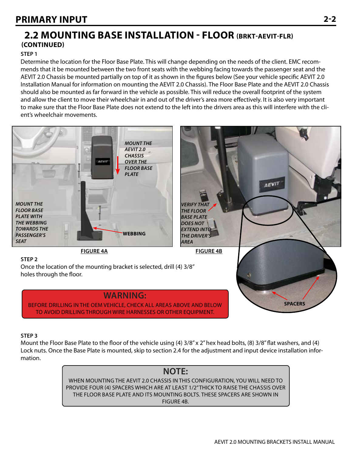## **2.2 Mounting Base Installation - Floor (BRkt-aevit-flr) (Continued)**

#### **Step 1**

Determine the location for the Floor Base Plate. This will change depending on the needs of the client. EMC recommends that it be mounted between the two front seats with the webbing facing towards the passenger seat and the AEVIT 2.0 Chassis be mounted partially on top of it as shown in the figures below (See your vehicle specific AEVIT 2.0 Installation Manual for information on mounting the AEVIT 2.0 Chassis). The Floor Base Plate and the AEVIT 2.0 Chassis should also be mounted as far forward in the vehicle as possible. This will reduce the overall footprint of the system and allow the client to move their wheelchair in and out of the driver's area more effectively. It is also very important to make sure that the Floor Base Plate does not extend to the left into the drivers area as this will interfere with the client's wheelchair movements.



#### **Step 3**

Mount the Floor Base Plate to the floor of the vehicle using (4) 3/8" x 2" hex head bolts, (8) 3/8" flat washers, and (4) Lock nuts. Once the Base Plate is mounted, skip to section 2.4 for the adjustment and input device installation information.

#### **NOTE:** when mounting the AEVIT 2.0 chassis in this configuration, you will need to provide four (4) spacers which are at least 1/2" thick to raise the chassis over the floor base plate and its mounting bolts. These spacers are shown in figure 4B.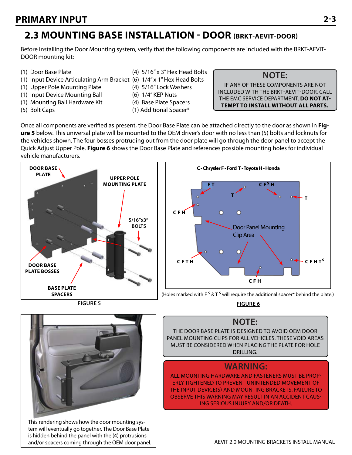## **2.3 Mounting Base Installation - Door (BRkt-aevit-door)**

Before installing the Door Mounting system, verify that the following components are included with the BRKT-AEVIT-DOOR mounting kit:

- 
- (1) Input Device Articulating Arm Bracket (6) 1/4" x 1" Hex Head Bolts
- (1) Upper Pole Mounting Plate (4) 5/16" Lock Washers
- (1) Input Device Mounting Ball (6) 1/4" KEP Nuts
- (1) Mounting Ball Hardware Kit (4) Base Plate Spacers
- 
- (1) Door Base Plate (4) 5/16" x 3" Hex Head Bolts
	-
	-
	-
	-
- (5) Bolt Caps (1) Additional Spacer\*

If any of these components are not included with the brkt-aevit-door, call the EMC service department. **DO not attempt to install without all parts.**

**NOTE:**

Once all components are verified as present, the Door Base Plate can be attached directly to the door as shown in **Figure 5** below. This universal plate will be mounted to the OEM driver's door with no less than (5) bolts and locknuts for the vehicles shown. The four bosses protruding out from the door plate will go through the door panel to accept the Quick Adjust Upper Pole. **Figure 6** shows the Door Base Plate and references possible mounting holes for individual vehicle manufacturers.



**Figure 5**



(Holes marked with F  $S$  & T  $S$  will require the additional spacer\* behind the plate.)

**Figure 6**

## **NOTE:**

The door Base plate is designed to avoid oem door panel mounting clips for all vehicles. These void areas must be considered when placing the plate for hole drilling.

## **WARNING:**

ALL MOUNTING HARDWARE AND FASTENERS MUST BE PROP-ERLY TIGHTENED TO PREVENT Unintended MOVEMENT OF THE INPUT DEVICE(S) and mounting brackets. FAILURE TO OBSERVE THIS WARNING MAY RESULT IN AN ACCIDENT CAUS-ING SERIOUS INJURY AND/OR DEATH.

This rendering shows how the door mounting system will eventually go together. The Door Base Plate is hidden behind the panel with the (4) protrusions and/or spacers coming through the OEM door panel.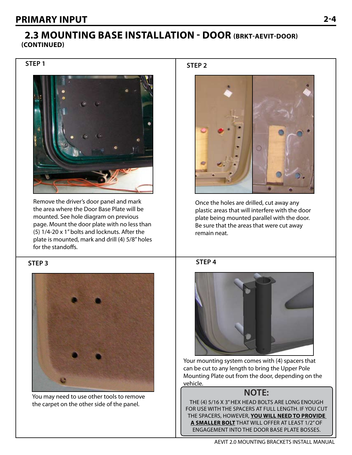### **2.3 Mounting Base Installation - Door (BRkt-aevit-door) (Continued)**

**Step 1**



Remove the driver's door panel and mark the area where the Door Base Plate will be mounted. See hole diagram on previous page. Mount the door plate with no less than (5) 1/4-20 x 1" bolts and locknuts. After the plate is mounted, mark and drill (4) 5/8" holes for the standoffs.

#### **Step 3**



You may need to use other tools to remove the carpet on the other side of the panel.

**Step 2**



Once the holes are drilled, cut away any plastic areas that will interfere with the door plate being mounted parallel with the door. Be sure that the areas that were cut away remain neat.





Your mounting system comes with (4) spacers that can be cut to any length to bring the Upper Pole Mounting Plate out from the door, depending on the vehicle.

## **NOTE:**

The (4) 5/16 x 3" hex head bolts are long enough for use with the spacers at full length. If you cut the spacers, however, **you will need to provide a smaller bolt** that will offer at least 1/2" of engagement into the Door Base Plate bosses.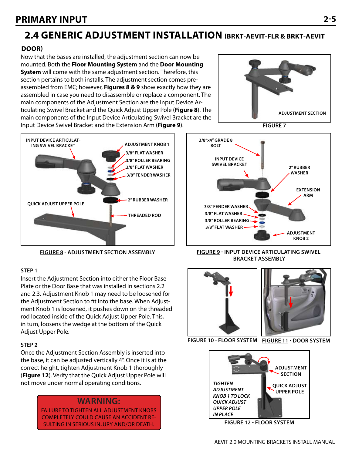## **2.4 generic adjustment installation (BRkt-aevit-flr & BRKT-AEVIT**

#### **DOOR)**

Now that the bases are installed, the adjustment section can now be mounted. Both the **Floor Mounting System** and the **Door Mounting System** will come with the same adjustment section. Therefore, this section pertains to both installs. The adjustment section comes preassembled from EMC; however, **Figures 8 & 9** show exactly how they are assembled in case you need to disassemble or replace a component. The main components of the Adjustment Section are the Input Device Articulating Swivel Bracket and the Quick Adjust Upper Pole (**Figure 8**). The main components of the Input Device Articulating Swivel Bracket are the Input Device Swivel Bracket and the Extension Arm (**Figure 9**).



#### **Step 1**

Insert the Adjustment Section into either the Floor Base Plate or the Door Base that was installed in sections 2.2 and 2.3. Adjustment Knob 1 may need to be loosened for the Adjustment Section to fit into the base. When Adjustment Knob 1 is loosened, it pushes down on the threaded rod located inside of the Quick Adjust Upper Pole. This, in turn, loosens the wedge at the bottom of the Quick Adjust Upper Pole.

#### **Step 2**

Once the Adjustment Section Assembly is inserted into the base, it can be adjusted vertically 4". Once it is at the correct height, tighten Adjustment Knob 1 thoroughly (**Figure 12**). Verify that the Quick Adjust Upper Pole will not move under normal operating conditions.

#### **WARNING:**

FAILURE TO TIGHTEN all adjustment knobs completely COULD CAUSE AN ACCIDENT RE-SULTING IN SERIOUS INJURY AND/OR DEATH.



**Figure 7**



**Figure 8 - Adjustment section Assembly Figure 9 - Input device articulating swivel Bracket assembly**





**Figure 10 - Floor system Figure 11 - Door system**



**Figure 12 - Floor system**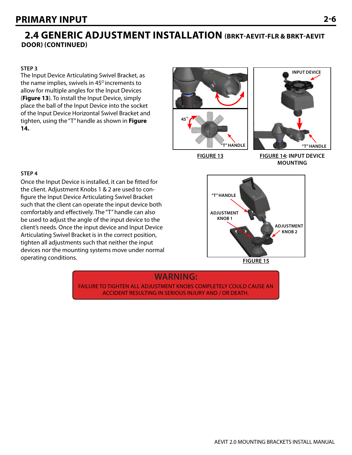## **2.4 generic adjustment installation (BRkt-aevit-flr & BRKT-AEVIT DOOR) (Continued)**

#### **Step 3**

The Input Device Articulating Swivel Bracket, as the name implies, swivels in  $45^\circ$  increments to allow for multiple angles for the Input Devices (**Figure 13**). To install the Input Device, simply place the ball of the Input Device into the socket of the Input Device Horizontal Swivel Bracket and tighten, using the "T" handle as shown in **Figure 14.**





**Figure 13**

**Figure 14: Input device Mounting**

#### **Step 4**

Once the Input Device is installed, it can be fitted for the client. Adjustment Knobs 1 & 2 are used to configure the Input Device Articulating Swivel Bracket such that the client can operate the input device both comfortably and effectively. The "T" handle can also be used to adjust the angle of the input device to the client's needs. Once the input device and Input Device Articulating Swivel Bracket is in the correct position, tighten all adjustments such that neither the input devices nor the mounting systems move under normal operating conditions.



**Figure 15**

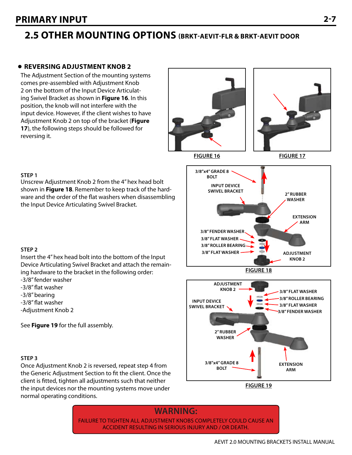## **2.5 other mounting options (BRkt-aevit-flr & BRKT-AEVIT DOOR**

#### **Reversing Adjustment Knob 2**

The Adjustment Section of the mounting systems comes pre-assembled with Adjustment Knob 2 on the bottom of the Input Device Articulating Swivel Bracket as shown in **Figure 16**. In this position, the knob will not interfere with the input device. However, if the client wishes to have Adjustment Knob 2 on top of the bracket (**Figure 17**), the following steps should be followed for reversing it.





**Step 1**

**Figure 15** Insert the 4" hex head bolt into the bottom of the Input Device Articulating Swivel Bracket and attach the remaining hardware to the bracket in the following order:

Unscrew Adjustment Knob 2 from the 4" hex head bolt shown in **Figure 18**. Remember to keep track of the hardware and the order of the flat washers when disassembling

the Input Device Articulating Swivel Bracket.

-3/8" fender washer

- -3/8" flat washer
- -3/8" bearing
- -3/8" flat washer
- -Adjustment Knob 2

See **Figure 19** for the full assembly.

#### **Step 3**

Once Adjustment Knob 2 is reversed, repeat step 4 from the Generic Adjustment Section to fit the client. Once the client is fitted, tighten all adjustments such that neither the input devices nor the mounting systems move under normal operating conditions.



**Figure 19**

## **WARNING:**

FAILURE TO TIGHTEN all adjustment knobs completely COULD CAUSE AN ACCIDENT RESULTING IN SERIOUS INJURY AND / OR DEATH.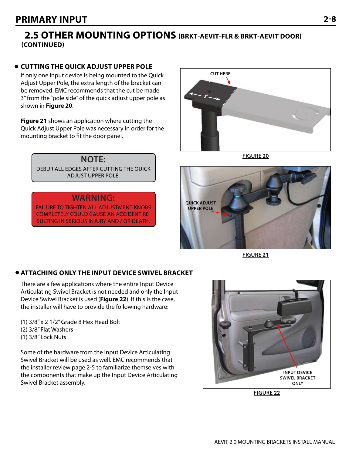## **2.5 other mounting options (BRkt-aevit-flr & BRKT-AEVIT DOOR) (Continued)**

#### **Cutting the quick adjust upper pole**

If only one input device is being mounted to the Quick Adjust Upper Pole, the extra length of the bracket can be removed. EMC recommends that the cut be made 3" from the "pole side" of the quick adjust upper pole as shown in **Figure 20**.

**Figure 21** shows an application where cutting the Quick Adjust Upper Pole was necessary in order for the mounting bracket to fit the door panel.

> **NOTE:** debur all edges after cutting the quick adjust upper pole.

#### **WARNING:**

FAILURE TO TIGHTEN all adjustment knobs completely COULD CAUSE AN ACCIDENT RE-SULTING IN SERIOUS INJURY AND / OR DEATH.



**Figure 20**



**Figure 21**

#### **Attaching only the Input device swivel bracket**

There are a few applications where the entire Input Device Articulating Swivel Bracket is not needed and only the Input Device Swivel Bracket is used (**Figure 22**). If this is the case, the installer will have to provide the following hardware:

(1) 3/8" x 2 1/2" Grade 8 Hex Head Bolt (2) 3/8" Flat Washers (1) 3/8" Lock Nuts

Some of the hardware from the Input Device Articulating Swivel Bracket will be used as well. EMC recommends that the installer review page 2-5 to familiarize themselves with the components that make up the Input Device Articulating Swivel Bracket assembly.



**Figure 22**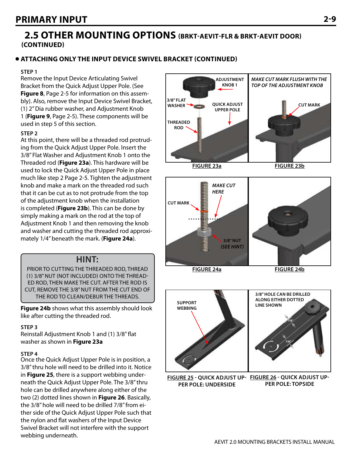### **2.5 other mounting options (BRkt-aevit-flr & BRKT-AEVIT DOOR) (Continued)**

#### **Attaching only the Input device swivel bracket (continued)**

#### **Step 1**

Remove the Input Device Articulating Swivel Bracket from the Quick Adjust Upper Pole. (See **Figure 8**, Page 2-5 for information on this assembly). Also, remove the Input Device Swivel Bracket, (1) 2" Dia rubber washer, and Adjustment Knob 1 (**Figure 9**, Page 2-5). These components will be used in step 5 of this section.

#### **Step 2**

At this point, there will be a threaded rod protruding from the Quick Adjust Upper Pole. Insert the 3/8" Flat Washer and Adjustment Knob 1 onto the Threaded rod (**Figure 23a**). This hardware will be used to lock the Quick Adjust Upper Pole in place much like step 2 Page 2-5. Tighten the adjustment knob and make a mark on the threaded rod such that it can be cut as to not protrude from the top of the adjustment knob when the installation is completed (**Figure 23b**). This can be done by simply making a mark on the rod at the top of Adjustment Knob 1 and then removing the knob and washer and cutting the threaded rod approximately 1/4" beneath the mark. (**Figure 24a**).

#### **HINT:**

PRIOR TO CUTTING THE THREADED ROD, THREAD (1) 3/8" NUT (NOT INCLUDED) ONTO THE THREAD-ED ROD, THEN MAKE THE CUT. After THE ROD IS CUT, REMOVE THE 3/8" NUT from the CUT END OF THE ROD TO CLEAN/DEBUR THE THREADS.

**Figure 24b** shows what this assembly should look like after cutting the threaded rod.

#### **Step 3**

Reinstall Adjustment Knob 1 and (1) 3/8" flat washer as shown in **Figure 23a**

#### **Step 4**

Once the Quick Adjust Upper Pole is in position, a 3/8" thru hole will need to be drilled into it. Notice in **Figure 25**, there is a support webbing underneath the Quick Adjust Upper Pole. The 3/8" thru hole can be drilled anywhere along either of the two (2) dotted lines shown in **Figure 26**. Basically, the 3/8" hole will need to be drilled 7/8" from either side of the Quick Adjust Upper Pole such that the nylon and flat washers of the Input Device Swivel Bracket will not interfere with the support webbing underneath.

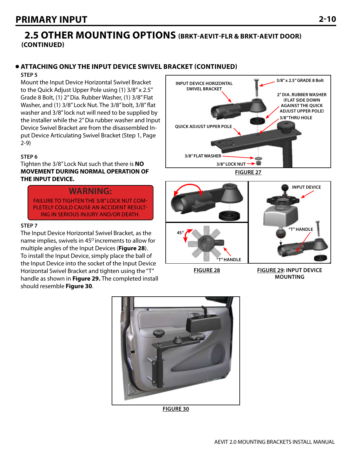### **2.5 other mounting options (Brkt-aevit-flr & BRKT-AEVIT DOOR) (Continued)**

#### **Attaching only the Input device swivel bracket (continued)**

#### **Step 5**

Mount the Input Device Horizontal Swivel Bracket to the Quick Adjust Upper Pole using (1) 3/8" x 2.5" Grade 8 Bolt, (1) 2" Dia. Rubber Washer, (1) 3/8" Flat Washer, and (1) 3/8" Lock Nut. The 3/8" bolt, 3/8" flat washer and 3/8" lock nut will need to be supplied by the installer while the 2" Dia rubber washer and Input Device Swivel Bracket are from the disassembled Input Device Articulating Swivel Bracket (Step 1, Page 2-9)

#### **Step 6**

Tighten the 3/8" Lock Nut such that there is **NO MOVEMENT DURING NORMAL OPERATION OF THE INPUT DEVICE.**

#### **WARNING:**

FAILURE TO TIGHTEN THE 3/8" LOCK NUT COM-PLETELY COULD CAUSE AN ACCIDENT RESULT-ING IN SERIOUS INJURY AND/OR DEATH.

#### **Step 7**

The Input Device Horizontal Swivel Bracket, as the name implies, swivels in 45<sup>°</sup> increments to allow for multiple angles of the Input Devices (**Figure 28**). To install the Input Device, simply place the ball of the Input Device into the socket of the Input Device Horizontal Swivel Bracket and tighten using the "T" handle as shown in **Figure 29.** The completed install should resemble **Figure 30**.



**Figure 27**



**Figure 28**

**Figure 29: Input device Mounting**



**Figure 30**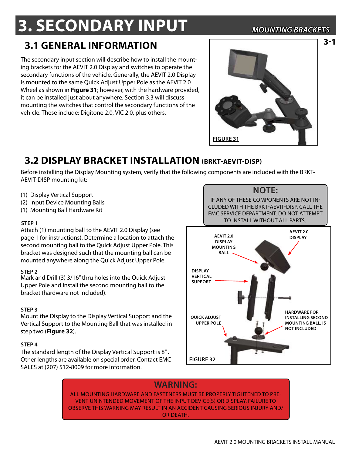# **3. Secondary INPUT** *Mounting Brackets*

**3-1**

## **3.1 general information**

The secondary input section will describe how to install the mounting brackets for the AEVIT 2.0 Display and switches to operate the secondary functions of the vehicle. Generally, the AEVIT 2.0 Display is mounted to the same Quick Adjust Upper Pole as the AEVIT 2.0 Wheel as shown in **Figure 31**; however, with the hardware provided, it can be installed just about anywhere. Section 3.3 will discuss mounting the switches that control the secondary functions of the vehicle. These include: Digitone 2.0, VIC 2.0, plus others.



## **3.2 Display bracket Installation (Brkt-aevit-disp)**

Before installing the Display Mounting system, verify that the following components are included with the BRKT-AEVIT-DISP mounting kit:

- (1) Display Vertical Support
- (2) Input Device Mounting Balls
- (1) Mounting Ball Hardware Kit

#### **Step 1**

Attach (1) mounting ball to the AEVIT 2.0 Display (see page 1 for instructions). Determine a location to attach the second mounting ball to the Quick Adjust Upper Pole. This bracket was designed such that the mounting ball can be mounted anywhere along the Quick Adjust Upper Pole.

#### **Step 2**

Mark and Drill (3) 3/16" thru holes into the Quick Adjust Upper Pole and install the second mounting ball to the bracket (hardware not included).

#### **Step 3**

Mount the Display to the Display Vertical Support and the Vertical Support to the Mounting Ball that was installed in step two (**Figure 32**).

#### **Step 4**

The standard length of the Display Vertical Support is 8" . Other lengths are available on special order. Contact EMC SALES at (207) 512-8009 for more information.



### **WARNING:**

**Figure 32**

ALL MOUNTING HARDWARE AND FASTENERS MUST BE PROPERLY TIGHTENED TO PRE-VENT UNINTENDED MOVEMENT OF THE INPUT DEVICE(S) OR DISPLAY. FAILURE TO OBSERVE THIS WARNING MAY RESULT IN AN ACCIDENT CAUSING SERIOUS INJURY AND/ OR DEATH.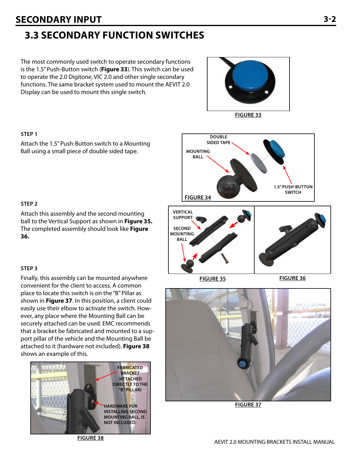## **Secondary input 3-2**

## **3.3 secondary function switches**

The most commonly used switch to operate secondary functions is the 1.5" Push-Button switch (**Figure 33**). This switch can be used to operate the 2.0 Digitone, VIC 2.0 and other single secondary functions. The same bracket system used to mount the AEVIT 2.0 Display can be used to mount this single switch.





**Double**

#### **Step 1**

Attach the 1.5" Push-Button switch to a Mounting Ball using a small piece of double sided tape.

#### **Step 2**

Attach this assembly and the second mounting ball to the Vertical Support as shown in **Figure 35.** The completed assembly should look like **Figure 36.**

#### **Step 3**

Finally, this assembly can be mounted anywhere convenient for the client to access. A common place to locate this switch is on the "B" Pillar as shown in **Figure 37**. In this position, a client could easily use their elbow to activate the switch. However, any place where the Mounting Ball can be securely attached can be used. EMC recommends that a bracket be fabricated and mounted to a support pillar of the vehicle and the Mounting Ball be attached to it (hardware not included). **Figure 38** shows an example of this.







**Figure 37**

**Figure 38**